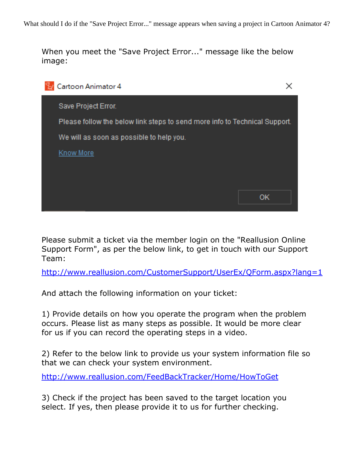When you meet the "Save Project Error..." message like the below image:



Please submit a ticket via the member login on the "Reallusion Online Support Form", as per the below link, to get in touch with our Support Team:

<http://www.reallusion.com/CustomerSupport/UserEx/QForm.aspx?lang=1>

And attach the following information on your ticket:

1) Provide details on how you operate the program when the problem occurs. Please list as many steps as possible. It would be more clear for us if you can record the operating steps in a video.

2) Refer to the below link to provide us your system information file so that we can check your system environment.

<http://www.reallusion.com/FeedBackTracker/Home/HowToGet>

3) Check if the project has been saved to the target location you select. If yes, then please provide it to us for further checking.